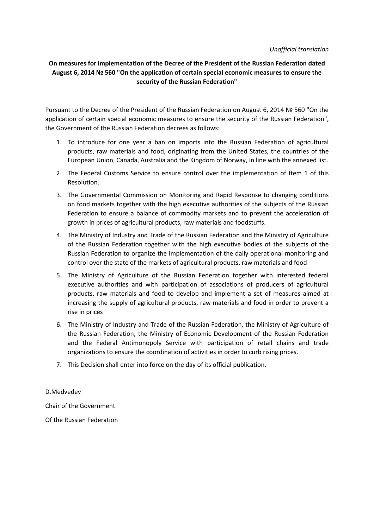## *Unofficial translation*

## **On measures for implementation of the Decree of the President of the Russian Federation dated August 6, 2014 № 560 "On the application of certain special economic measures to ensure the security of the Russian Federation"**

Pursuant to the Decree of the President of the Russian Federation on August 6, 2014 № 560 "On the application of certain special economic measures to ensure the security of the Russian Federation", the Government of the Russian Federation decrees as follows:

- 1. To introduce for one year a ban on imports into the Russian Federation of agricultural products, raw materials and food, originating from the United States, the countries of the European Union, Canada, Australia and the Kingdom of Norway, in line with the annexed list.
- 2. The Federal Customs Service to ensure control over the implementation of Item 1 of this Resolution.
- 3. The Governmental Commission on Monitoring and Rapid Response to changing conditions on food markets together with the high executive authorities of the subjects of the Russian Federation to ensure a balance of commodity markets and to prevent the acceleration of growth in prices of agricultural products, raw materials and foodstuffs.
- 4. The Ministry of Industry and Trade of the Russian Federation and the Ministry of Agriculture of the Russian Federation together with the high executive bodies of the subjects of the Russian Federation to organize the implementation of the daily operational monitoring and control over the state of the markets of agricultural products, raw materials and food
- 5. The Ministry of Agriculture of the Russian Federation together with interested federal executive authorities and with participation of associations of producers of agricultural products, raw materials and food to develop and implement a set of measures aimed at increasing the supply of agricultural products, raw materials and food in order to prevent a rise in prices
- 6. The Ministry of Industry and Trade of the Russian Federation, the Ministry of Agriculture of the Russian Federation, the Ministry of Economic Development of the Russian Federation and the Federal Antimonopoly Service with participation of retail chains and trade organizations to ensure the coordination of activities in order to curb rising prices.
- 7. This Decision shall enter into force on the day of its official publication.

D.Medvedev

Chair of the Government

Of the Russian Federation